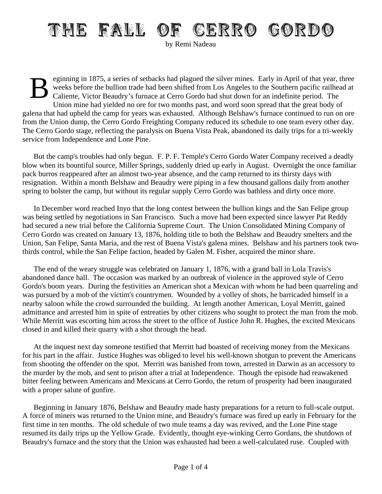## THE FALL OF CERRO GORDO

by Remi Nadeau

B eginning in 1875, a series of setbacks had plagued the silver mines. Early in April of that year, three weeks before the bullion trade had been shifted from Los Angeles to the Southern pacific railhead at Caliente, Victor Beaudry's furnace at Cerro Gordo had shut down for an indefinite period. The Union mine had yielded no ore for two months past, and word soon spread that the great body of galena that had upheld the camp for years was exhausted. Although Belshaw's furnace continued to run on ore from the Union dump, the Cerro Gordo Freighting Company reduced its schedule to one team every other day. The Cerro Gordo stage, reflecting the paralysis on Buena Vista Peak, abandoned its daily trips for a tri-weekly service from Independence and Lone Pine.

But the camp's troubles had only begun. F. P. F. Temple's Cerro Gordo Water Company received a deadly blow when its bountiful source, Miller Springs, suddenly dried up early in August. Overnight the once familiar pack burros reappeared after an almost two-year absence, and the camp returned to its thirsty days with resignation. Within a month Belshaw and Beaudry were piping in a few thousand gallons daily from another spring to bolster the camp, but without its regular supply Cerro Gordo was bathless and dirty once more.

In December word reached Inyo that the long contest between the bullion kings and the San Felipe group was being settled by negotiations in San Francisco. Such a move had been expected since lawyer Pat Reddy had secured a new trial before the California Supreme Court. The Union Consolidated Mining Company of Cerro Gordo was created on January 13, 1876, holding title to both the Belshaw and Beaudry smelters and the Union, San Felipe, Santa Maria, and the rest of Buena Vista's galena mines. Belshaw and his partners took twothirds control, while the San Felipe faction, headed by Galen M. Fisher, acquired the minor share.

The end of the weary struggle was celebrated on January 1, 1876, with a grand ball in Lola Travis's abandoned dance hall. The occasion was marked by an outbreak of violence in the approved style of Cerro Gordo's boom years. During the festivities an American shot a Mexican with whom he had been quarreling and was pursued by a mob of the victim's countrymen. Wounded by a volley of shots, he barricaded himself in a nearby saloon while the crowd surrounded the building. At length another American, Loyal Merritt, gained admittance and arrested him in spite of entreaties by other citizens who sought to protect the man from the mob. While Merritt was escorting him across the street to the office of Justice John R. Hughes, the excited Mexicans closed in and killed their quarry with a shot through the head.

At the inquest next day someone testified that Merritt had boasted of receiving money from the Mexicans for his part in the affair. Justice Hughes was obliged to level his well-known shotgun to prevent the Americans from shooting the offender on the spot. Merritt was banished from town, arrested in Darwin as an accessory to the murder by the mob, and sent to prison after a trial at Independence. Though the episode had reawakened bitter feeling between Americans and Mexicans at Cerro Gordo, the return of prosperity had been inaugurated with a proper salute of gunfire.

Beginning in January 1876, Belshaw and Beaudry made hasty preparations for a return to full-scale output. A force of miners was returned to the Union mine, and Beaudry's furnace was fired up early in February for the first time in ten months. The old schedule of two mule teams a day was revived, and the Lone Pine stage resumed its daily trips up the Yellow Grade. Evidently, thought eye-winking Cerro Gordans, the shutdown of Beaudry's furnace and the story that the Union was exhausted had been a well-calculated ruse. Coupled with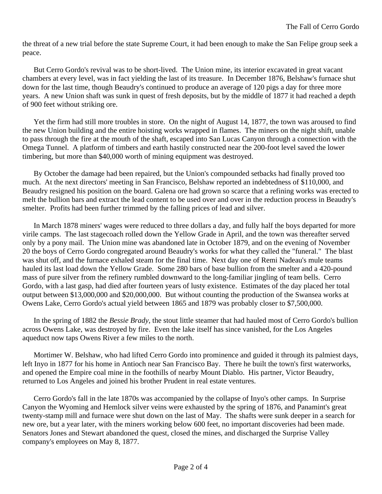the threat of a new trial before the state Supreme Court, it had been enough to make the San Felipe group seek a peace.

But Cerro Gordo's revival was to be short-lived. The Union mine, its interior excavated in great vacant chambers at every level, was in fact yielding the last of its treasure. In December 1876, Belshaw's furnace shut down for the last time, though Beaudry's continued to produce an average of 120 pigs a day for three more years. A new Union shaft was sunk in quest of fresh deposits, but by the middle of 1877 it had reached a depth of 900 feet without striking ore.

Yet the firm had still more troubles in store. On the night of August 14, 1877, the town was aroused to find the new Union building and the entire hoisting works wrapped in flames. The miners on the night shift, unable to pass through the fire at the mouth of the shaft, escaped into San Lucas Canyon through a connection with the Omega Tunnel. A platform of timbers and earth hastily constructed near the 200-foot level saved the lower timbering, but more than \$40,000 worth of mining equipment was destroyed.

By October the damage had been repaired, but the Union's compounded setbacks had finally proved too much. At the next directors' meeting in San Francisco, Belshaw reported an indebtedness of \$110,000, and Beaudry resigned his position on the board. Galena ore had grown so scarce that a refining works was erected to melt the bullion bars and extract the lead content to be used over and over in the reduction process in Beaudry's smelter. Profits had been further trimmed by the falling prices of lead and silver.

In March 1878 miners' wages were reduced to three dollars a day, and fully half the boys departed for more virile camps. The last stagecoach rolled down the Yellow Grade in April, and the town was thereafter served only by a pony mail. The Union mine was abandoned late in October 1879, and on the evening of November 20 the boys of Cerro Gordo congregated around Beaudry's works for what they called the "funeral." The blast was shut off, and the furnace exhaled steam for the final time. Next day one of Remi Nadeau's mule teams hauled its last load down the Yellow Grade. Some 280 bars of base bullion from the smelter and a 420-pound mass of pure silver from the refinery rumbled downward to the long-familiar jingling of team bells. Cerro Gordo, with a last gasp, had died after fourteen years of lusty existence. Estimates of the day placed her total output between \$13,000,000 and \$20,000,000. But without counting the production of the Swansea works at Owens Lake, Cerro Gordo's actual yield between 1865 and 1879 was probably closer to \$7,500,000.

In the spring of 1882 the *Bessie Brady*, the stout little steamer that had hauled most of Cerro Gordo's bullion across Owens Lake, was destroyed by fire. Even the lake itself has since vanished, for the Los Angeles aqueduct now taps Owens River a few miles to the north.

Mortimer W. Belshaw, who had lifted Cerro Gordo into prominence and guided it through its palmiest days, left Inyo in 1877 for his home in Antioch near San Francisco Bay. There he built the town's first waterworks, and opened the Empire coal mine in the foothills of nearby Mount Diablo. His partner, Victor Beaudry, returned to Los Angeles and joined his brother Prudent in real estate ventures.

Cerro Gordo's fall in the late 1870s was accompanied by the collapse of Inyo's other camps. In Surprise Canyon the Wyoming and Hemlock silver veins were exhausted by the spring of 1876, and Panamint's great twenty-stamp mill and furnace were shut down on the last of May. The shafts were sunk deeper in a search for new ore, but a year later, with the miners working below 600 feet, no important discoveries had been made. Senators Jones and Stewart abandoned the quest, closed the mines, and discharged the Surprise Valley company's employees on May 8, 1877.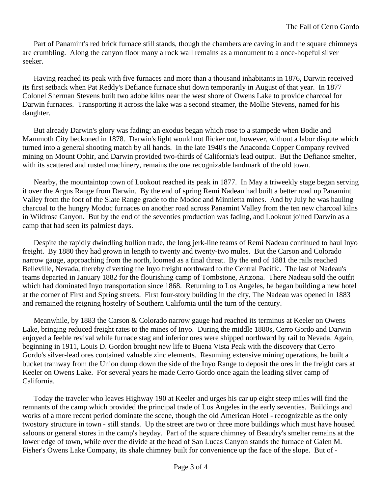Part of Panamint's red brick furnace still stands, though the chambers are caving in and the square chimneys are crumbling. Along the canyon floor many a rock wall remains as a monument to a once-hopeful silver seeker.

Having reached its peak with five furnaces and more than a thousand inhabitants in 1876, Darwin received its first setback when Pat Reddy's Defiance furnace shut down temporarily in August of that year. In 1877 Colonel Sherman Stevens built two adobe kilns near the west shore of Owens Lake to provide charcoal for Darwin furnaces. Transporting it across the lake was a second steamer, the Mollie Stevens, named for his daughter.

But already Darwin's glory was fading; an exodus began which rose to a stampede when Bodie and Mammoth City beckoned in 1878. Darwin's light would not flicker out, however, without a labor dispute which turned into a general shooting match by all hands. In the late 1940's the Anaconda Copper Company revived mining on Mount Ophir, and Darwin provided two-thirds of California's lead output. But the Defiance smelter, with its scattered and rusted machinery, remains the one recognizable landmark of the old town.

Nearby, the mountaintop town of Lookout reached its peak in 1877. In May a triweekly stage began serving it over the Argus Range from Darwin. By the end of spring Remi Nadeau had built a better road up Panamint Valley from the foot of the Slate Range grade to the Modoc and Minnietta mines. And by July he was hauling charcoal to the hungry Modoc furnaces on another road across Panamint Valley from the ten new charcoal kilns in Wildrose Canyon. But by the end of the seventies production was fading, and Lookout joined Darwin as a camp that had seen its palmiest days.

Despite the rapidly dwindling bullion trade, the long jerk-line teams of Remi Nadeau continued to haul Inyo freight. By 1880 they had grown in length to twenty and twenty-two mules. But the Carson and Colorado narrow gauge, approaching from the north, loomed as a final threat. By the end of 1881 the rails reached Belleville, Nevada, thereby diverting the Inyo freight northward to the Central Pacific. The last of Nadeau's teams departed in January 1882 for the flourishing camp of Tombstone, Arizona. There Nadeau sold the outfit which had dominated Inyo transportation since 1868. Returning to Los Angeles, he began building a new hotel at the corner of First and Spring streets. First four-story building in the city, The Nadeau was opened in 1883 and remained the reigning hostelry of Southern California until the turn of the century.

Meanwhile, by 1883 the Carson & Colorado narrow gauge had reached its terminus at Keeler on Owens Lake, bringing reduced freight rates to the mines of Inyo. During the middle 1880s, Cerro Gordo and Darwin enjoyed a feeble revival while furnace stag and inferior ores were shipped northward by rail to Nevada. Again, beginning in 1911, Louis D. Gordon brought new life to Buena Vista Peak with the discovery that Cerro Gordo's silver-lead ores contained valuable zinc elements. Resuming extensive mining operations, he built a bucket tramway from the Union dump down the side of the Inyo Range to deposit the ores in the freight cars at Keeler on Owens Lake. For several years he made Cerro Gordo once again the leading silver camp of California.

Today the traveler who leaves Highway 190 at Keeler and urges his car up eight steep miles will find the remnants of the camp which provided the principal trade of Los Angeles in the early seventies. Buildings and works of a more recent period dominate the scene, though the old American Hotel - recognizable as the only twostory structure in town - still stands. Up the street are two or three more buildings which must have housed saloons or general stores in the camp's heyday. Part of the square chimney of Beaudry's smelter remains at the lower edge of town, while over the divide at the head of San Lucas Canyon stands the furnace of Galen M. Fisher's Owens Lake Company, its shale chimney built for convenience up the face of the slope. But of -